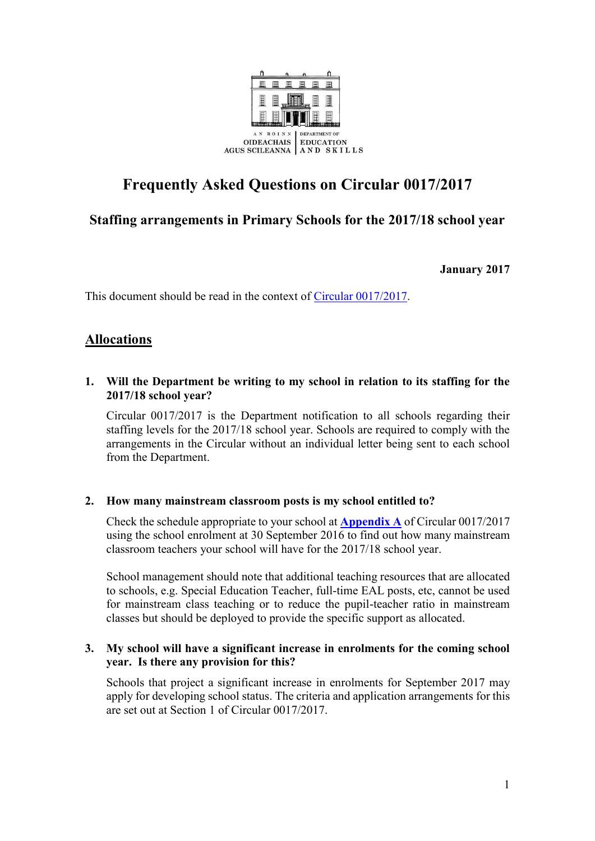

# **Frequently Asked Questions on Circular 0017/2017**

# **Staffing arrangements in Primary Schools for the 2017/18 school year**

**January 2017**

This document should be read in the context of [Circular 0017/2017.](http://www.education.ie/en/Circulars-and-Forms/Active-Circulars/cl0017_2017.pdf)

# **Allocations**

**1. Will the Department be writing to my school in relation to its staffing for the 2017/18 school year?**

Circular 0017/2017 is the Department notification to all schools regarding their staffing levels for the 2017/18 school year. Schools are required to comply with the arrangements in the Circular without an individual letter being sent to each school from the Department.

## **2. How many mainstream classroom posts is my school entitled to?**

Check the schedule appropriate to your school at **[Appendix A](http://www.education.ie/en/Circulars-and-Forms/Active-Circulars/cl0017_2017_appendix_a.pdf)** of Circular 0017/2017 using the school enrolment at 30 September 2016 to find out how many mainstream classroom teachers your school will have for the 2017/18 school year.

School management should note that additional teaching resources that are allocated to schools, e.g. Special Education Teacher, full-time EAL posts, etc, cannot be used for mainstream class teaching or to reduce the pupil-teacher ratio in mainstream classes but should be deployed to provide the specific support as allocated.

#### **3. My school will have a significant increase in enrolments for the coming school year. Is there any provision for this?**

Schools that project a significant increase in enrolments for September 2017 may apply for developing school status. The criteria and application arrangements for this are set out at Section 1 of Circular 0017/2017.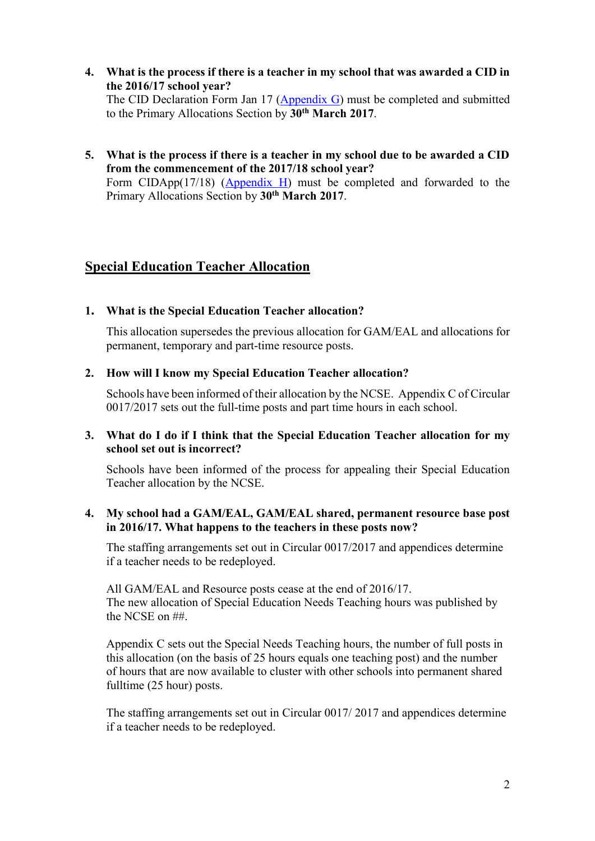**4. What is the process if there is a teacher in my school that was awarded a CID in the 2016/17 school year?**

The CID Declaration Form Jan 17 [\(Appendix G\)](http://www.education.ie/en/Circulars-and-Forms/Active-Circulars/cl0017_2017_appendix_g.pdf) must be completed and submitted to the Primary Allocations Section by **30th March 2017**.

**5. What is the process if there is a teacher in my school due to be awarded a CID from the commencement of the 2017/18 school year?** Form CIDApp(17/18) [\(Appendix H\)](http://www.education.ie/en/Circulars-and-Forms/Active-Circulars/cl0017_2017_appendix_h.pdf) must be completed and forwarded to the Primary Allocations Section by **30th March 2017**.

## **Special Education Teacher Allocation**

#### **1. What is the Special Education Teacher allocation?**

This allocation supersedes the previous allocation for GAM/EAL and allocations for permanent, temporary and part-time resource posts.

#### **2. How will I know my Special Education Teacher allocation?**

Schools have been informed of their allocation by the NCSE. Appendix C of Circular 0017/2017 sets out the full-time posts and part time hours in each school.

## **3. What do I do if I think that the Special Education Teacher allocation for my school set out is incorrect?**

Schools have been informed of the process for appealing their Special Education Teacher allocation by the NCSE.

#### **4. My school had a GAM/EAL, GAM/EAL shared, permanent resource base post in 2016/17. What happens to the teachers in these posts now?**

The staffing arrangements set out in Circular 0017/2017 and appendices determine if a teacher needs to be redeployed.

All GAM/EAL and Resource posts cease at the end of 2016/17. The new allocation of Special Education Needs Teaching hours was published by the NCSE on ##.

Appendix C sets out the Special Needs Teaching hours, the number of full posts in this allocation (on the basis of 25 hours equals one teaching post) and the number of hours that are now available to cluster with other schools into permanent shared fulltime (25 hour) posts.

The staffing arrangements set out in Circular 0017/ 2017 and appendices determine if a teacher needs to be redeployed.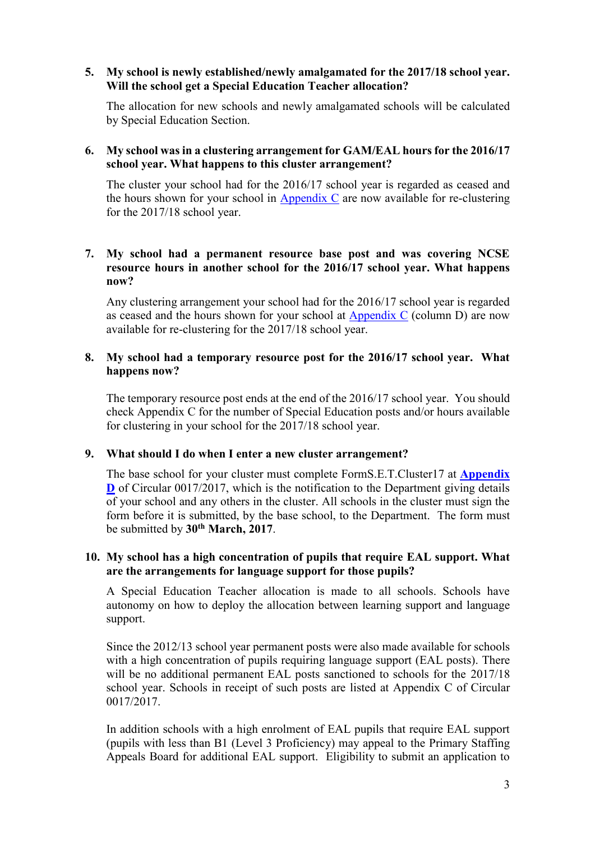#### **5. My school is newly established/newly amalgamated for the 2017/18 school year. Will the school get a Special Education Teacher allocation?**

The allocation for new schools and newly amalgamated schools will be calculated by Special Education Section.

#### **6. My school was in a clustering arrangement for GAM/EAL hours for the 2016/17 school year. What happens to this cluster arrangement?**

The cluster your school had for the 2016/17 school year is regarded as ceased and the hours shown for your school in [Appendix C](http://www.education.ie/en/Circulars-and-Forms/Active-Circulars/cl0017_2017_appendix_c.pdf) are now available for re-clustering for the 2017/18 school year.

## **7. My school had a permanent resource base post and was covering NCSE resource hours in another school for the 2016/17 school year. What happens now?**

Any clustering arrangement your school had for the 2016/17 school year is regarded as ceased and the hours shown for your school at [Appendix C](http://www.education.ie/en/Circulars-and-Forms/Active-Circulars/cl0017_2017_appendix_c.pdf) (column D) are now available for re-clustering for the 2017/18 school year.

#### **8. My school had a temporary resource post for the 2016/17 school year. What happens now?**

The temporary resource post ends at the end of the 2016/17 school year. You should check Appendix C for the number of Special Education posts and/or hours available for clustering in your school for the 2017/18 school year.

## **9. What should I do when I enter a new cluster arrangement?**

The base school for your cluster must complete FormS.E.T.Cluster17 at **[Appendix](http://www.education.ie/en/Circulars-and-Forms/Active-Circulars/cl0017_2017_appendix_d.pdf)  [D](http://www.education.ie/en/Circulars-and-Forms/Active-Circulars/cl0017_2017_appendix_d.pdf)** of Circular 0017/2017, which is the notification to the Department giving details of your school and any others in the cluster. All schools in the cluster must sign the form before it is submitted, by the base school, to the Department. The form must be submitted by **30th March, 2017**.

#### **10. My school has a high concentration of pupils that require EAL support. What are the arrangements for language support for those pupils?**

A Special Education Teacher allocation is made to all schools. Schools have autonomy on how to deploy the allocation between learning support and language support.

Since the 2012/13 school year permanent posts were also made available for schools with a high concentration of pupils requiring language support (EAL posts). There will be no additional permanent EAL posts sanctioned to schools for the 2017/18 school year. Schools in receipt of such posts are listed at Appendix C of Circular 0017/2017.

In addition schools with a high enrolment of EAL pupils that require EAL support (pupils with less than B1 (Level 3 Proficiency) may appeal to the Primary Staffing Appeals Board for additional EAL support. Eligibility to submit an application to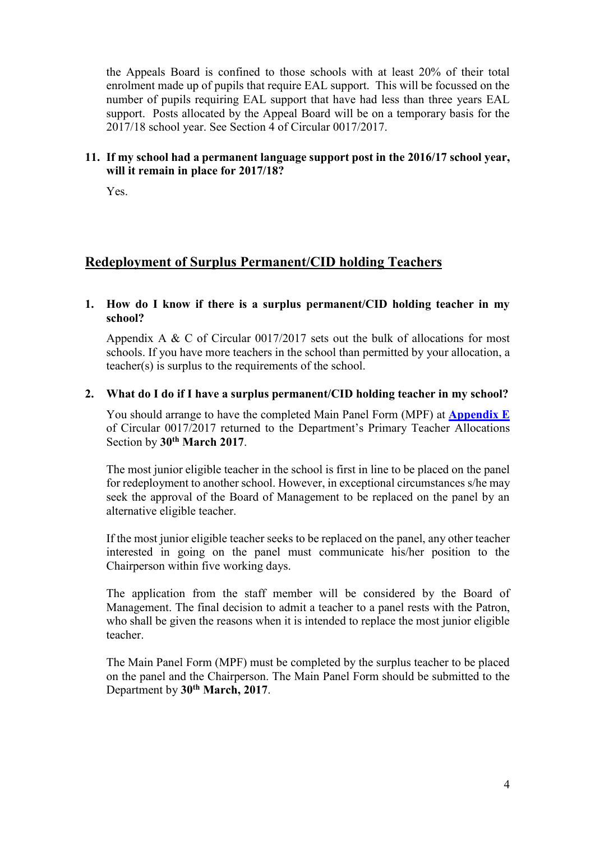the Appeals Board is confined to those schools with at least 20% of their total enrolment made up of pupils that require EAL support. This will be focussed on the number of pupils requiring EAL support that have had less than three years EAL support. Posts allocated by the Appeal Board will be on a temporary basis for the 2017/18 school year. See Section 4 of Circular 0017/2017.

#### **11. If my school had a permanent language support post in the 2016/17 school year, will it remain in place for 2017/18?**

Yes.

## **Redeployment of Surplus Permanent/CID holding Teachers**

#### **1. How do I know if there is a surplus permanent/CID holding teacher in my school?**

Appendix A & C of Circular 0017/2017 sets out the bulk of allocations for most schools. If you have more teachers in the school than permitted by your allocation, a teacher(s) is surplus to the requirements of the school.

#### **2. What do I do if I have a surplus permanent/CID holding teacher in my school?**

You should arrange to have the completed Main Panel Form (MPF) at **[Appendix E](http://www.education.ie/en/Circulars-and-Forms/Active-Circulars/cl0017_2017_appendix_e.pdf)** of Circular 0017/2017 returned to the Department's Primary Teacher Allocations Section by **30th March 2017**.

The most junior eligible teacher in the school is first in line to be placed on the panel for redeployment to another school. However, in exceptional circumstances s/he may seek the approval of the Board of Management to be replaced on the panel by an alternative eligible teacher.

If the most junior eligible teacher seeks to be replaced on the panel, any other teacher interested in going on the panel must communicate his/her position to the Chairperson within five working days.

The application from the staff member will be considered by the Board of Management. The final decision to admit a teacher to a panel rests with the Patron, who shall be given the reasons when it is intended to replace the most junior eligible teacher.

The Main Panel Form (MPF) must be completed by the surplus teacher to be placed on the panel and the Chairperson. The Main Panel Form should be submitted to the Department by **30th March, 2017**.